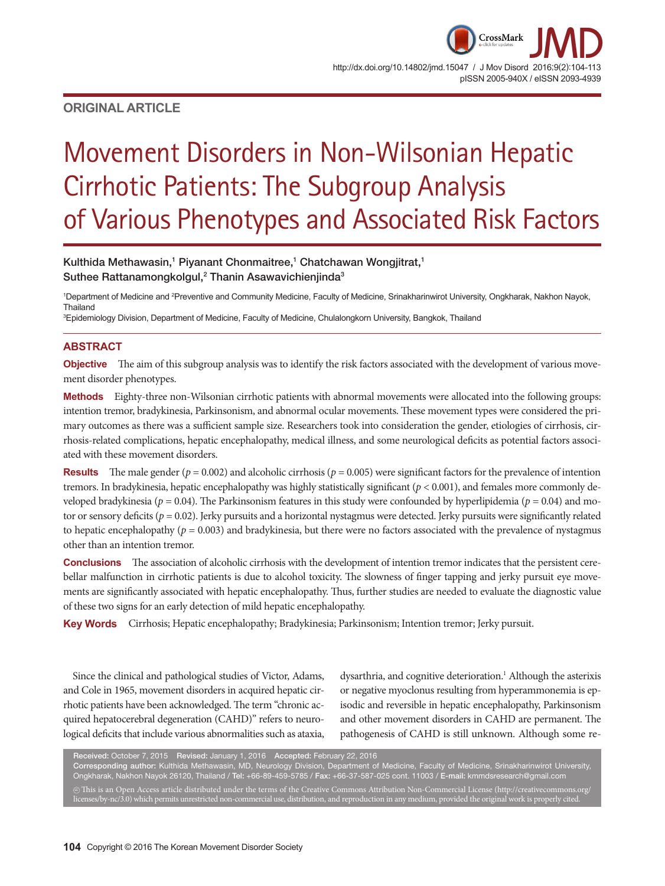# **ORIGINAL ARTICLE**

# Movement Disorders in Non-Wilsonian Hepatic Cirrhotic Patients: The Subgroup Analysis of Various Phenotypes and Associated Risk Factors

# Kulthida Methawasin,<sup>1</sup> Piyanant Chonmaitree,<sup>1</sup> Chatchawan Wongjitrat,<sup>1</sup> Suthee Rattanamongkolgul,<sup>2</sup> Thanin Asawavichienjinda ${}^{3}$

<sup>1</sup>Department of Medicine and <sup>2</sup>Preventive and Community Medicine, Faculty of Medicine, Srinakharinwirot University, Ongkharak, Nakhon Nayok, Thailand

3 Epidemiology Division, Department of Medicine, Faculty of Medicine, Chulalongkorn University, Bangkok, Thailand

# **ABSTRACT**

**Objective** The aim of this subgroup analysis was to identify the risk factors associated with the development of various movement disorder phenotypes.

**Methods** Eighty-three non-Wilsonian cirrhotic patients with abnormal movements were allocated into the following groups: intention tremor, bradykinesia, Parkinsonism, and abnormal ocular movements. These movement types were considered the primary outcomes as there was a sufficient sample size. Researchers took into consideration the gender, etiologies of cirrhosis, cirrhosis-related complications, hepatic encephalopathy, medical illness, and some neurological deficits as potential factors associated with these movement disorders.

**Results** The male gender ( $p = 0.002$ ) and alcoholic cirrhosis ( $p = 0.005$ ) were significant factors for the prevalence of intention tremors. In bradykinesia, hepatic encephalopathy was highly statistically significant (*p* < 0.001), and females more commonly developed bradykinesia ( $p = 0.04$ ). The Parkinsonism features in this study were confounded by hyperlipidemia ( $p = 0.04$ ) and motor or sensory deficits ( $p = 0.02$ ). Jerky pursuits and a horizontal nystagmus were detected. Jerky pursuits were significantly related to hepatic encephalopathy ( $p = 0.003$ ) and bradykinesia, but there were no factors associated with the prevalence of nystagmus other than an intention tremor.

**Conclusions** The association of alcoholic cirrhosis with the development of intention tremor indicates that the persistent cerebellar malfunction in cirrhotic patients is due to alcohol toxicity. The slowness of finger tapping and jerky pursuit eye movements are significantly associated with hepatic encephalopathy. Thus, further studies are needed to evaluate the diagnostic value of these two signs for an early detection of mild hepatic encephalopathy.

Key Words Cirrhosis; Hepatic encephalopathy; Bradykinesia; Parkinsonism; Intention tremor; Jerky pursuit.

Since the clinical and pathological studies of Victor, Adams, and Cole in 1965, movement disorders in acquired hepatic cirrhotic patients have been acknowledged. The term "chronic acquired hepatocerebral degeneration (CAHD)" refers to neurological deficits that include various abnormalities such as ataxia, dysarthria, and cognitive deterioration.<sup>1</sup> Although the asterixis or negative myoclonus resulting from hyperammonemia is episodic and reversible in hepatic encephalopathy, Parkinsonism and other movement disorders in CAHD are permanent. The pathogenesis of CAHD is still unknown. Although some re-

.<br>Pived: October 7, 2015 PRevised: January 1, 2016 Accepted: February 22, 2016<br>esponding author: Kulthida Methawasin, MD, Neurology Division, Department of Medicine, Faculty of Medicine, Srinakharinwirot University, Corresponding author: Kulthida Methawasin, MD, Neurology Division, Department of Medicine, Faculty of Medicine, Srinakharinwirot University, Ongkharak, Nakhon Nayok 26120, Thailand / Tel: +66-89-459-5785 / Fax: +66-37-587-025 cont. 11003 / E-mail: kmmdsresearch@gmail.com cc This is an Open Access article distributed under the terms of the Creative Commons Attribution Non-Commercial License (http://creativecommons.org/ licenses/by-nc/3.0) which permits unrestricted non-commercial use, distribution, and reproduction in any medium, provided the original work is properly cited.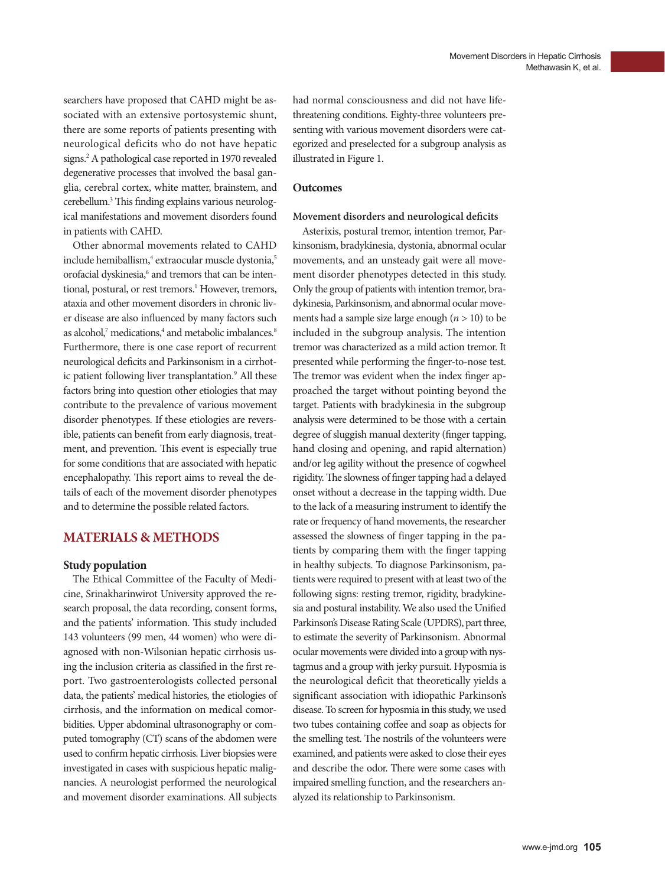searchers have proposed that CAHD might be associated with an extensive portosystemic shunt, there are some reports of patients presenting with neurological deficits who do not have hepatic signs.2 A pathological case reported in 1970 revealed degenerative processes that involved the basal ganglia, cerebral cortex, white matter, brainstem, and cerebellum.3 This finding explains various neurological manifestations and movement disorders found in patients with CAHD.

Other abnormal movements related to CAHD include hemiballism,<sup>4</sup> extraocular muscle dystonia,<sup>5</sup> orofacial dyskinesia,<sup>6</sup> and tremors that can be intentional, postural, or rest tremors.<sup>1</sup> However, tremors, ataxia and other movement disorders in chronic liver disease are also influenced by many factors such as alcohol,<sup>7</sup> medications,<sup>4</sup> and metabolic imbalances.<sup>8</sup> Furthermore, there is one case report of recurrent neurological deficits and Parkinsonism in a cirrhotic patient following liver transplantation.<sup>9</sup> All these factors bring into question other etiologies that may contribute to the prevalence of various movement disorder phenotypes. If these etiologies are reversible, patients can benefit from early diagnosis, treatment, and prevention. This event is especially true for some conditions that are associated with hepatic encephalopathy. This report aims to reveal the details of each of the movement disorder phenotypes and to determine the possible related factors.

# **MATERIALS & METHODS**

## **Study population**

The Ethical Committee of the Faculty of Medicine, Srinakharinwirot University approved the research proposal, the data recording, consent forms, and the patients' information. This study included 143 volunteers (99 men, 44 women) who were diagnosed with non-Wilsonian hepatic cirrhosis using the inclusion criteria as classified in the first report. Two gastroenterologists collected personal data, the patients' medical histories, the etiologies of cirrhosis, and the information on medical comorbidities. Upper abdominal ultrasonography or computed tomography (CT) scans of the abdomen were used to confirm hepatic cirrhosis. Liver biopsies were investigated in cases with suspicious hepatic malignancies. A neurologist performed the neurological and movement disorder examinations. All subjects

had normal consciousness and did not have lifethreatening conditions. Eighty-three volunteers presenting with various movement disorders were categorized and preselected for a subgroup analysis as illustrated in Figure 1.

#### **Outcomes**

#### **Movement disorders and neurological deficits**

Asterixis, postural tremor, intention tremor, Parkinsonism, bradykinesia, dystonia, abnormal ocular movements, and an unsteady gait were all movement disorder phenotypes detected in this study. Only the group of patients with intention tremor, bradykinesia, Parkinsonism, and abnormal ocular movements had a sample size large enough (*n* > 10) to be included in the subgroup analysis. The intention tremor was characterized as a mild action tremor. It presented while performing the finger-to-nose test. The tremor was evident when the index finger approached the target without pointing beyond the target. Patients with bradykinesia in the subgroup analysis were determined to be those with a certain degree of sluggish manual dexterity (finger tapping, hand closing and opening, and rapid alternation) and/or leg agility without the presence of cogwheel rigidity. The slowness of finger tapping had a delayed onset without a decrease in the tapping width. Due to the lack of a measuring instrument to identify the rate or frequency of hand movements, the researcher assessed the slowness of finger tapping in the patients by comparing them with the finger tapping in healthy subjects. To diagnose Parkinsonism, patients were required to present with at least two of the following signs: resting tremor, rigidity, bradykinesia and postural instability. We also used the Unified Parkinson's Disease Rating Scale (UPDRS), part three, to estimate the severity of Parkinsonism. Abnormal ocular movements were divided into a group with nystagmus and a group with jerky pursuit. Hyposmia is the neurological deficit that theoretically yields a significant association with idiopathic Parkinson's disease. To screen for hyposmia in this study, we used two tubes containing coffee and soap as objects for the smelling test. The nostrils of the volunteers were examined, and patients were asked to close their eyes and describe the odor. There were some cases with impaired smelling function, and the researchers analyzed its relationship to Parkinsonism.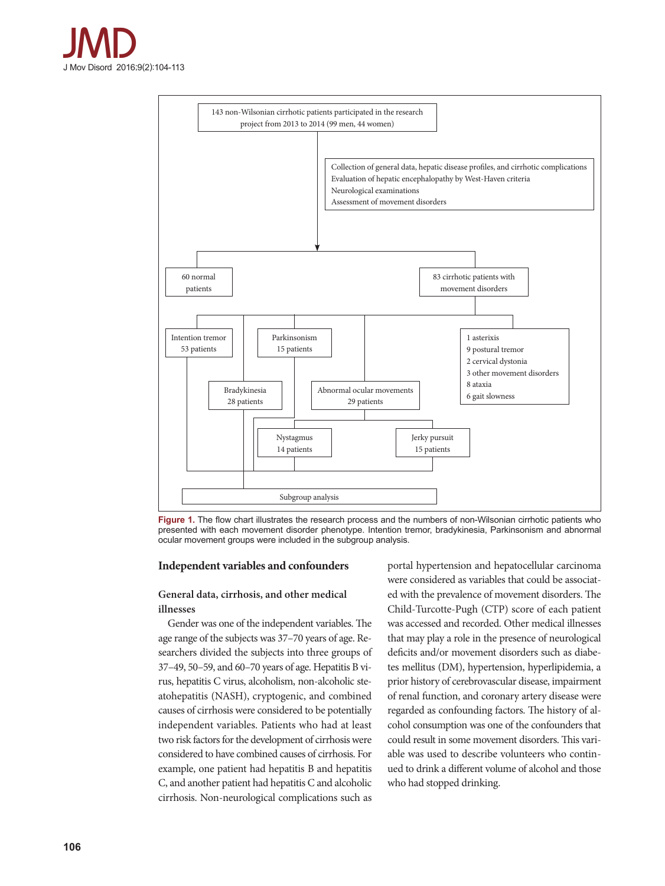



**Figure 1.** The flow chart illustrates the research process and the numbers of non-Wilsonian cirrhotic patients who presented with each movement disorder phenotype. Intention tremor, bradykinesia, Parkinsonism and abnormal ocular movement groups were included in the subgroup analysis.

## **Independent variables and confounders**

# **General data, cirrhosis, and other medical illnesses**

Gender was one of the independent variables. The age range of the subjects was 37–70 years of age. Researchers divided the subjects into three groups of 37–49, 50–59, and 60–70 years of age. Hepatitis B virus, hepatitis C virus, alcoholism, non-alcoholic steatohepatitis (NASH), cryptogenic, and combined causes of cirrhosis were considered to be potentially independent variables. Patients who had at least two risk factors for the development of cirrhosis were considered to have combined causes of cirrhosis. For example, one patient had hepatitis B and hepatitis C, and another patient had hepatitis C and alcoholic cirrhosis. Non-neurological complications such as portal hypertension and hepatocellular carcinoma were considered as variables that could be associated with the prevalence of movement disorders. The Child-Turcotte-Pugh (CTP) score of each patient was accessed and recorded. Other medical illnesses that may play a role in the presence of neurological deficits and/or movement disorders such as diabetes mellitus (DM), hypertension, hyperlipidemia, a prior history of cerebrovascular disease, impairment of renal function, and coronary artery disease were regarded as confounding factors. The history of alcohol consumption was one of the confounders that could result in some movement disorders. This variable was used to describe volunteers who continued to drink a different volume of alcohol and those who had stopped drinking.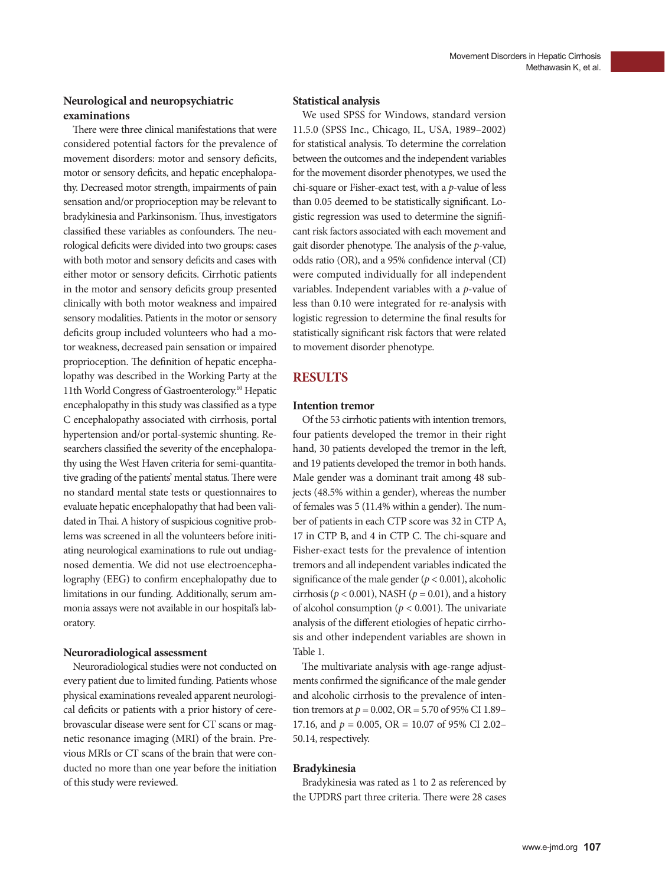# **Neurological and neuropsychiatric examinations**

There were three clinical manifestations that were considered potential factors for the prevalence of movement disorders: motor and sensory deficits, motor or sensory deficits, and hepatic encephalopathy. Decreased motor strength, impairments of pain sensation and/or proprioception may be relevant to bradykinesia and Parkinsonism. Thus, investigators classified these variables as confounders. The neurological deficits were divided into two groups: cases with both motor and sensory deficits and cases with either motor or sensory deficits. Cirrhotic patients in the motor and sensory deficits group presented clinically with both motor weakness and impaired sensory modalities. Patients in the motor or sensory deficits group included volunteers who had a motor weakness, decreased pain sensation or impaired proprioception. The definition of hepatic encephalopathy was described in the Working Party at the 11th World Congress of Gastroenterology.10 Hepatic encephalopathy in this study was classified as a type C encephalopathy associated with cirrhosis, portal hypertension and/or portal-systemic shunting. Researchers classified the severity of the encephalopathy using the West Haven criteria for semi-quantitative grading of the patients' mental status. There were no standard mental state tests or questionnaires to evaluate hepatic encephalopathy that had been validated in Thai. A history of suspicious cognitive problems was screened in all the volunteers before initiating neurological examinations to rule out undiagnosed dementia. We did not use electroencephalography (EEG) to confirm encephalopathy due to limitations in our funding. Additionally, serum ammonia assays were not available in our hospital's laboratory.

## **Neuroradiological assessment**

Neuroradiological studies were not conducted on every patient due to limited funding. Patients whose physical examinations revealed apparent neurological deficits or patients with a prior history of cerebrovascular disease were sent for CT scans or magnetic resonance imaging (MRI) of the brain. Previous MRIs or CT scans of the brain that were conducted no more than one year before the initiation of this study were reviewed.

## **Statistical analysis**

We used SPSS for Windows, standard version 11.5.0 (SPSS Inc., Chicago, IL, USA, 1989–2002) for statistical analysis. To determine the correlation between the outcomes and the independent variables for the movement disorder phenotypes, we used the chi-square or Fisher-exact test, with a *p*-value of less than 0.05 deemed to be statistically significant. Logistic regression was used to determine the significant risk factors associated with each movement and gait disorder phenotype. The analysis of the *p*-value, odds ratio (OR), and a 95% confidence interval (CI) were computed individually for all independent variables. Independent variables with a *p*-value of less than 0.10 were integrated for re-analysis with logistic regression to determine the final results for statistically significant risk factors that were related to movement disorder phenotype.

# **RESULTS**

### **Intention tremor**

Of the 53 cirrhotic patients with intention tremors, four patients developed the tremor in their right hand, 30 patients developed the tremor in the left, and 19 patients developed the tremor in both hands. Male gender was a dominant trait among 48 subjects (48.5% within a gender), whereas the number of females was 5 (11.4% within a gender). The number of patients in each CTP score was 32 in CTP A, 17 in CTP B, and 4 in CTP C. The chi-square and Fisher-exact tests for the prevalence of intention tremors and all independent variables indicated the significance of the male gender  $(p < 0.001)$ , alcoholic cirrhosis (*p* < 0.001), NASH (*p* = 0.01), and a history of alcohol consumption ( $p < 0.001$ ). The univariate analysis of the different etiologies of hepatic cirrhosis and other independent variables are shown in Table 1.

The multivariate analysis with age-range adjustments confirmed the significance of the male gender and alcoholic cirrhosis to the prevalence of intention tremors at  $p = 0.002$ , OR = 5.70 of 95% CI 1.89– 17.16, and *p* = 0.005, OR = 10.07 of 95% CI 2.02– 50.14, respectively.

## **Bradykinesia**

Bradykinesia was rated as 1 to 2 as referenced by the UPDRS part three criteria. There were 28 cases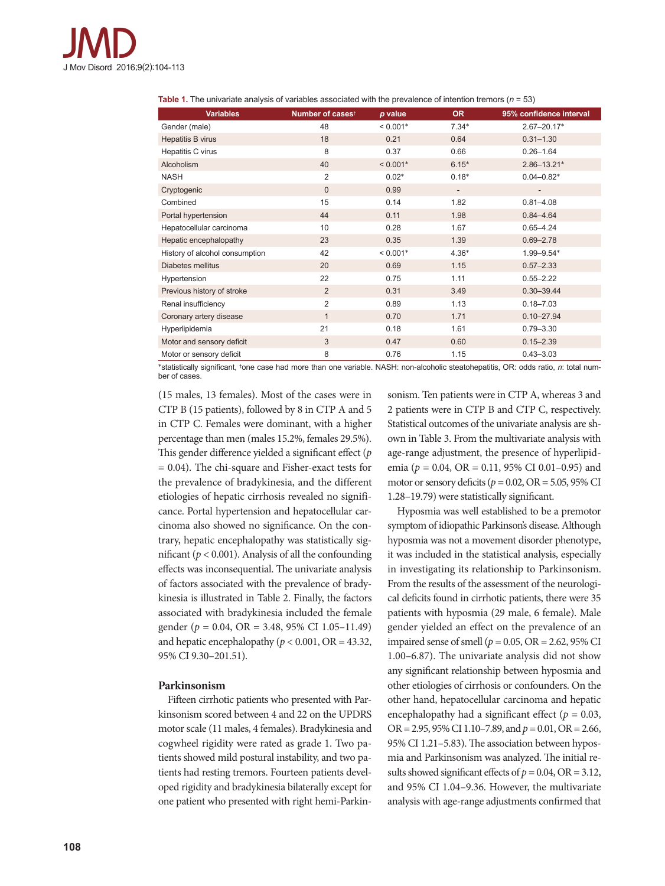

**Table 1.** The univariate analysis of variables associated with the prevalence of intention tremors (*n* = 53)

| <b>Variables</b>               | Number of casest | p value    | <b>OR</b>                | 95% confidence interval  |  |
|--------------------------------|------------------|------------|--------------------------|--------------------------|--|
| Gender (male)                  | 48               | $< 0.001*$ | $7.34*$                  | $2.67 - 20.17*$          |  |
| Hepatitis B virus              | 18               | 0.21       | 0.64                     | $0.31 - 1.30$            |  |
| Hepatitis C virus              | 8                | 0.37       | 0.66                     | $0.26 - 1.64$            |  |
| Alcoholism                     | 40               | $< 0.001*$ | $6.15*$                  | $2.86 - 13.21*$          |  |
| <b>NASH</b>                    | $\overline{2}$   | $0.02*$    | $0.18*$                  | $0.04 - 0.82*$           |  |
| Cryptogenic                    | $\overline{0}$   | 0.99       | $\overline{\phantom{a}}$ | $\overline{\phantom{a}}$ |  |
| Combined                       | 15               | 0.14       | 1.82                     | $0.81 - 4.08$            |  |
| Portal hypertension            | 44               | 0.11       | 1.98                     | $0.84 - 4.64$            |  |
| Hepatocellular carcinoma       | 10               | 0.28       | 1.67                     | $0.65 - 4.24$            |  |
| Hepatic encephalopathy         | 23               | 0.35       | 1.39                     | $0.69 - 2.78$            |  |
| History of alcohol consumption | 42               | $< 0.001*$ | $4.36*$                  | $1.99 - 9.54*$           |  |
| <b>Diabetes mellitus</b>       | 20               | 0.69       | 1.15                     | $0.57 - 2.33$            |  |
| Hypertension                   | 22               | 0.75       | 1.11                     | $0.55 - 2.22$            |  |
| Previous history of stroke     | $\overline{2}$   | 0.31       | 3.49                     | $0.30 - 39.44$           |  |
| Renal insufficiency            | $\overline{2}$   | 0.89       | 1.13                     | $0.18 - 7.03$            |  |
| Coronary artery disease        | $\mathbf{1}$     | 0.70       | 1.71                     | $0.10 - 27.94$           |  |
| Hyperlipidemia                 | 21               | 0.18       | 1.61                     | $0.79 - 3.30$            |  |
| Motor and sensory deficit      | 3                | 0.47       | 0.60                     | $0.15 - 2.39$            |  |
| Motor or sensory deficit       | 8                | 0.76       | 1.15                     | $0.43 - 3.03$            |  |

\*statistically significant, †one case had more than one variable. NASH: non-alcoholic steatohepatitis, OR: odds ratio, *n*: total number of cases.

(15 males, 13 females). Most of the cases were in CTP B (15 patients), followed by 8 in CTP A and 5 in CTP C. Females were dominant, with a higher percentage than men (males 15.2%, females 29.5%). This gender difference yielded a significant effect (*p*  = 0.04). The chi-square and Fisher-exact tests for the prevalence of bradykinesia, and the different etiologies of hepatic cirrhosis revealed no significance. Portal hypertension and hepatocellular carcinoma also showed no significance. On the contrary, hepatic encephalopathy was statistically significant ( $p < 0.001$ ). Analysis of all the confounding effects was inconsequential. The univariate analysis of factors associated with the prevalence of bradykinesia is illustrated in Table 2. Finally, the factors associated with bradykinesia included the female gender (*p* = 0.04, OR = 3.48, 95% CI 1.05–11.49) and hepatic encephalopathy ( $p < 0.001$ , OR = 43.32, 95% CI 9.30–201.51).

# **Parkinsonism**

Fifteen cirrhotic patients who presented with Parkinsonism scored between 4 and 22 on the UPDRS motor scale (11 males, 4 females). Bradykinesia and cogwheel rigidity were rated as grade 1. Two patients showed mild postural instability, and two patients had resting tremors. Fourteen patients developed rigidity and bradykinesia bilaterally except for one patient who presented with right hemi-Parkinsonism. Ten patients were in CTP A, whereas 3 and 2 patients were in CTP B and CTP C, respectively. Statistical outcomes of the univariate analysis are shown in Table 3. From the multivariate analysis with age-range adjustment, the presence of hyperlipidemia (*p* = 0.04, OR = 0.11, 95% CI 0.01–0.95) and motor or sensory deficits (*p* = 0.02, OR = 5.05, 95% CI 1.28–19.79) were statistically significant.

Hyposmia was well established to be a premotor symptom of idiopathic Parkinson's disease. Although hyposmia was not a movement disorder phenotype, it was included in the statistical analysis, especially in investigating its relationship to Parkinsonism. From the results of the assessment of the neurological deficits found in cirrhotic patients, there were 35 patients with hyposmia (29 male, 6 female). Male gender yielded an effect on the prevalence of an impaired sense of smell (*p* = 0.05, OR = 2.62, 95% CI 1.00–6.87). The univariate analysis did not show any significant relationship between hyposmia and other etiologies of cirrhosis or confounders. On the other hand, hepatocellular carcinoma and hepatic encephalopathy had a significant effect ( $p = 0.03$ , OR = 2.95, 95% CI 1.10–7.89, and *p* = 0.01, OR = 2.66, 95% CI 1.21–5.83). The association between hyposmia and Parkinsonism was analyzed. The initial results showed significant effects of  $p = 0.04$ , OR = 3.12, and 95% CI 1.04–9.36. However, the multivariate analysis with age-range adjustments confirmed that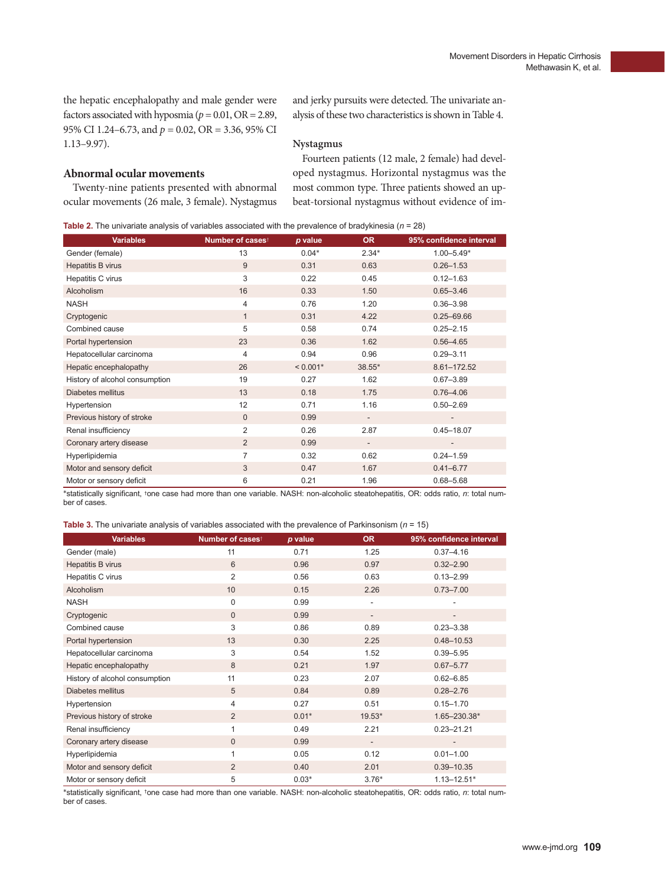the hepatic encephalopathy and male gender were factors associated with hyposmia ( $p = 0.01$ , OR = 2.89, 95% CI 1.24–6.73, and *p* = 0.02, OR = 3.36, 95% CI 1.13–9.97).

and jerky pursuits were detected. The univariate analysis of these two characteristics is shown in Table 4.

## **Nystagmus**

### **Abnormal ocular movements**

Twenty-nine patients presented with abnormal ocular movements (26 male, 3 female). Nystagmus

Fourteen patients (12 male, 2 female) had developed nystagmus. Horizontal nystagmus was the most common type. Three patients showed an upbeat-torsional nystagmus without evidence of im-

**Table 2.** The univariate analysis of variables associated with the prevalence of bradykinesia (*n* = 28)

| <b>Variables</b>               | Number of casest | p value    | <b>OR</b>                | 95% confidence interval |  |
|--------------------------------|------------------|------------|--------------------------|-------------------------|--|
| Gender (female)                | 13               | $0.04*$    | $2.34*$                  | $1.00 - 5.49*$          |  |
| Hepatitis B virus              | 9                | 0.31       | 0.63                     | $0.26 - 1.53$           |  |
| Hepatitis C virus              | 3                | 0.22       | 0.45                     | $0.12 - 1.63$           |  |
| Alcoholism                     | 16               | 0.33       | 1.50                     | $0.65 - 3.46$           |  |
| <b>NASH</b>                    | $\overline{4}$   | 0.76       | 1.20                     | $0.36 - 3.98$           |  |
| Cryptogenic                    | 1                | 0.31       | 4.22                     | $0.25 - 69.66$          |  |
| Combined cause                 | 5                | 0.58       | 0.74                     | $0.25 - 2.15$           |  |
| Portal hypertension            | 23               | 0.36       | 1.62                     | $0.56 - 4.65$           |  |
| Hepatocellular carcinoma       | 4                | 0.94       | 0.96                     | $0.29 - 3.11$           |  |
| Hepatic encephalopathy         | 26               | $< 0.001*$ | 38.55*                   | 8.61-172.52             |  |
| History of alcohol consumption | 19               | 0.27       | 1.62                     | $0.67 - 3.89$           |  |
| Diabetes mellitus              | 13               | 0.18       | 1.75                     | $0.76 - 4.06$           |  |
| Hypertension                   | 12               | 0.71       | 1.16                     | $0.50 - 2.69$           |  |
| Previous history of stroke     | $\Omega$         | 0.99       | $\overline{\phantom{a}}$ |                         |  |
| Renal insufficiency            | $\overline{2}$   | 0.26       | 2.87                     | $0.45 - 18.07$          |  |
| Coronary artery disease        | $\overline{2}$   | 0.99       | $\overline{\phantom{m}}$ |                         |  |
| Hyperlipidemia                 | 7                | 0.32       | 0.62                     | $0.24 - 1.59$           |  |
| Motor and sensory deficit      | 3                | 0.47       | 1.67                     | $0.41 - 6.77$           |  |
| Motor or sensory deficit       | 6                | 0.21       | 1.96                     | $0.68 - 5.68$           |  |

\*statistically significant, †one case had more than one variable. NASH: non-alcoholic steatohepatitis, OR: odds ratio, *n*: total number of cases.

**Table 3.** The univariate analysis of variables associated with the prevalence of Parkinsonism (*n* = 15)

| <b>Variables</b>               | Number of casest | p value | <b>OR</b>                | 95% confidence interval |  |  |
|--------------------------------|------------------|---------|--------------------------|-------------------------|--|--|
| Gender (male)                  | 11               | 0.71    | 1.25                     | $0.37 - 4.16$           |  |  |
| Hepatitis B virus              | 6                | 0.96    | 0.97                     | $0.32 - 2.90$           |  |  |
| Hepatitis C virus              | $\overline{2}$   | 0.56    | 0.63                     | $0.13 - 2.99$           |  |  |
| <b>Alcoholism</b>              | 10               | 0.15    | 2.26                     | $0.73 - 7.00$           |  |  |
| <b>NASH</b>                    | $\mathbf 0$      | 0.99    |                          |                         |  |  |
| Cryptogenic                    | $\mathbf{0}$     | 0.99    |                          |                         |  |  |
| Combined cause                 | 3                | 0.86    | 0.89                     | $0.23 - 3.38$           |  |  |
| Portal hypertension            | 13               | 0.30    | 2.25                     | $0.48 - 10.53$          |  |  |
| Hepatocellular carcinoma       | 3                | 0.54    | 1.52                     | $0.39 - 5.95$           |  |  |
| Hepatic encephalopathy         | 8                | 0.21    | 1.97                     | $0.67 - 5.77$           |  |  |
| History of alcohol consumption | 11               | 0.23    | 2.07                     | $0.62 - 6.85$           |  |  |
| Diabetes mellitus              | 5                | 0.84    | 0.89                     | $0.28 - 2.76$           |  |  |
| Hypertension                   | 4                | 0.27    | 0.51                     | $0.15 - 1.70$           |  |  |
| Previous history of stroke     | $\overline{2}$   | $0.01*$ | 19.53*                   | 1.65-230.38*            |  |  |
| Renal insufficiency            | 1                | 0.49    | 2.21                     | $0.23 - 21.21$          |  |  |
| Coronary artery disease        | $\mathbf{0}$     | 0.99    | $\overline{\phantom{a}}$ |                         |  |  |
| Hyperlipidemia                 | 1                | 0.05    | 0.12                     | $0.01 - 1.00$           |  |  |
| Motor and sensory deficit      | $\overline{2}$   | 0.40    | 2.01                     | $0.39 - 10.35$          |  |  |
| Motor or sensory deficit       | 5                | $0.03*$ | $3.76*$                  | $1.13 - 12.51*$         |  |  |

\*statistically significant, †one case had more than one variable. NASH: non-alcoholic steatohepatitis, OR: odds ratio, *n*: total number of cases.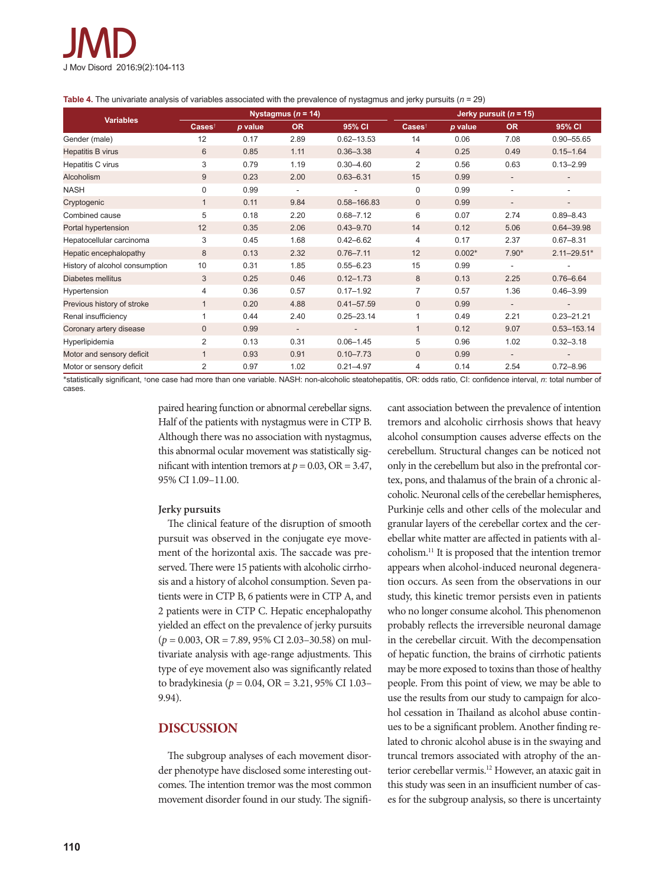

| Table 4. The univariate analysis of variables associated with the prevalence of nystagmus and jerky pursuits ( $n = 29$ ) |  |  |
|---------------------------------------------------------------------------------------------------------------------------|--|--|
|---------------------------------------------------------------------------------------------------------------------------|--|--|

| <b>Variables</b>               | Nystagmus ( $n = 14$ ) |         |                          |                | Jerky pursuit ( $n = 15$ ) |          |                          |                          |
|--------------------------------|------------------------|---------|--------------------------|----------------|----------------------------|----------|--------------------------|--------------------------|
|                                | Casest                 | p value | <b>OR</b>                | 95% CI         | Cases <sup>t</sup>         | p value  | <b>OR</b>                | 95% CI                   |
| Gender (male)                  | 12                     | 0.17    | 2.89                     | $0.62 - 13.53$ | 14                         | 0.06     | 7.08                     | $0.90 - 55.65$           |
| Hepatitis B virus              | 6                      | 0.85    | 1.11                     | $0.36 - 3.38$  | $\overline{4}$             | 0.25     | 0.49                     | $0.15 - 1.64$            |
| Hepatitis C virus              | 3                      | 0.79    | 1.19                     | $0.30 - 4.60$  | $\overline{2}$             | 0.56     | 0.63                     | $0.13 - 2.99$            |
| <b>Alcoholism</b>              | 9                      | 0.23    | 2.00                     | $0.63 - 6.31$  | 15                         | 0.99     | $\overline{\phantom{a}}$ | $\overline{\phantom{a}}$ |
| <b>NASH</b>                    | 0                      | 0.99    | $\overline{\phantom{a}}$ |                | 0                          | 0.99     | $\overline{\phantom{a}}$ | $\overline{a}$           |
| Cryptogenic                    | $\mathbf{1}$           | 0.11    | 9.84                     | 0.58-166.83    | $\mathbf{0}$               | 0.99     | $\overline{\phantom{a}}$ | $\overline{\phantom{a}}$ |
| Combined cause                 | 5                      | 0.18    | 2.20                     | $0.68 - 7.12$  | 6                          | 0.07     | 2.74                     | $0.89 - 8.43$            |
| Portal hypertension            | 12                     | 0.35    | 2.06                     | $0.43 - 9.70$  | 14                         | 0.12     | 5.06                     | 0.64-39.98               |
| Hepatocellular carcinoma       | 3                      | 0.45    | 1.68                     | $0.42 - 6.62$  | $\overline{4}$             | 0.17     | 2.37                     | $0.67 - 8.31$            |
| Hepatic encephalopathy         | 8                      | 0.13    | 2.32                     | $0.76 - 7.11$  | 12                         | $0.002*$ | $7.90*$                  | $2.11 - 29.51*$          |
| History of alcohol consumption | 10                     | 0.31    | 1.85                     | $0.55 - 6.23$  | 15                         | 0.99     | $\overline{\phantom{a}}$ |                          |
| Diabetes mellitus              | 3                      | 0.25    | 0.46                     | $0.12 - 1.73$  | 8                          | 0.13     | 2.25                     | $0.76 - 6.64$            |
| Hypertension                   | 4                      | 0.36    | 0.57                     | $0.17 - 1.92$  | $\overline{7}$             | 0.57     | 1.36                     | $0.46 - 3.99$            |
| Previous history of stroke     | $\mathbf{1}$           | 0.20    | 4.88                     | $0.41 - 57.59$ | $\mathbf{0}$               | 0.99     | $\overline{\phantom{a}}$ | $\overline{\phantom{a}}$ |
| Renal insufficiency            | 1                      | 0.44    | 2.40                     | $0.25 - 23.14$ | 1                          | 0.49     | 2.21                     | $0.23 - 21.21$           |
| Coronary artery disease        | $\Omega$               | 0.99    | $\overline{\phantom{a}}$ |                | $\mathbf{1}$               | 0.12     | 9.07                     | $0.53 - 153.14$          |
| Hyperlipidemia                 | 2                      | 0.13    | 0.31                     | $0.06 - 1.45$  | 5                          | 0.96     | 1.02                     | $0.32 - 3.18$            |
| Motor and sensory deficit      | $\mathbf{1}$           | 0.93    | 0.91                     | $0.10 - 7.73$  | $\mathbf{0}$               | 0.99     | $\overline{\phantom{a}}$ | $\overline{\phantom{0}}$ |
| Motor or sensory deficit       | 2                      | 0.97    | 1.02                     | $0.21 - 4.97$  | 4                          | 0.14     | 2.54                     | $0.72 - 8.96$            |

\*statistically significant, †one case had more than one variable. NASH: non-alcoholic steatohepatitis, OR: odds ratio, CI: confidence interval, *n*: total number of cases.

> paired hearing function or abnormal cerebellar signs. Half of the patients with nystagmus were in CTP B. Although there was no association with nystagmus, this abnormal ocular movement was statistically significant with intention tremors at  $p = 0.03$ , OR = 3.47, 95% CI 1.09–11.00.

### **Jerky pursuits**

The clinical feature of the disruption of smooth pursuit was observed in the conjugate eye movement of the horizontal axis. The saccade was preserved. There were 15 patients with alcoholic cirrhosis and a history of alcohol consumption. Seven patients were in CTP B, 6 patients were in CTP A, and 2 patients were in CTP C. Hepatic encephalopathy yielded an effect on the prevalence of jerky pursuits (*p* = 0.003, OR = 7.89, 95% CI 2.03–30.58) on multivariate analysis with age-range adjustments. This type of eye movement also was significantly related to bradykinesia (*p* = 0.04, OR = 3.21, 95% CI 1.03– 9.94).

# **DISCUSSION**

The subgroup analyses of each movement disorder phenotype have disclosed some interesting outcomes. The intention tremor was the most common movement disorder found in our study. The significant association between the prevalence of intention tremors and alcoholic cirrhosis shows that heavy alcohol consumption causes adverse effects on the cerebellum. Structural changes can be noticed not only in the cerebellum but also in the prefrontal cortex, pons, and thalamus of the brain of a chronic alcoholic. Neuronal cells of the cerebellar hemispheres, Purkinje cells and other cells of the molecular and granular layers of the cerebellar cortex and the cerebellar white matter are affected in patients with alcoholism.11 It is proposed that the intention tremor appears when alcohol-induced neuronal degeneration occurs. As seen from the observations in our study, this kinetic tremor persists even in patients who no longer consume alcohol. This phenomenon probably reflects the irreversible neuronal damage in the cerebellar circuit. With the decompensation of hepatic function, the brains of cirrhotic patients may be more exposed to toxins than those of healthy people. From this point of view, we may be able to use the results from our study to campaign for alcohol cessation in Thailand as alcohol abuse continues to be a significant problem. Another finding related to chronic alcohol abuse is in the swaying and truncal tremors associated with atrophy of the anterior cerebellar vermis.12 However, an ataxic gait in this study was seen in an insufficient number of cases for the subgroup analysis, so there is uncertainty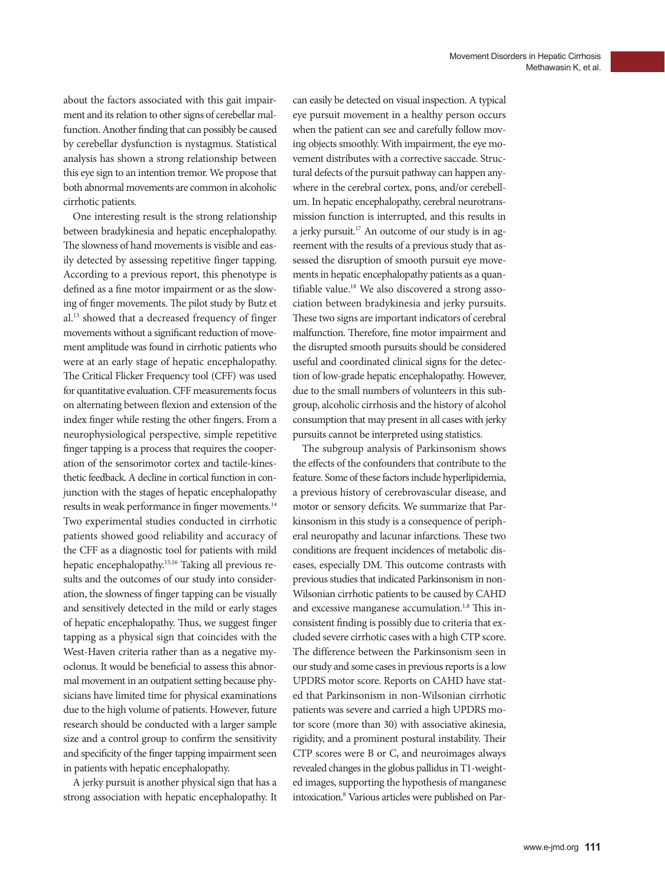about the factors associated with this gait impairment and its relation to other signs of cerebellar malfunction. Another finding that can possibly be caused by cerebellar dysfunction is nystagmus. Statistical analysis has shown a strong relationship between this eye sign to an intention tremor. We propose that both abnormal movements are common in alcoholic cirrhotic patients.

One interesting result is the strong relationship between bradykinesia and hepatic encephalopathy. The slowness of hand movements is visible and easily detected by assessing repetitive finger tapping. According to a previous report, this phenotype is defined as a fine motor impairment or as the slowing of finger movements. The pilot study by Butz et al.13 showed that a decreased frequency of finger movements without a significant reduction of movement amplitude was found in cirrhotic patients who were at an early stage of hepatic encephalopathy. The Critical Flicker Frequency tool (CFF) was used for quantitative evaluation. CFF measurements focus on alternating between flexion and extension of the index finger while resting the other fingers. From a neurophysiological perspective, simple repetitive finger tapping is a process that requires the cooperation of the sensorimotor cortex and tactile-kinesthetic feedback. A decline in cortical function in conjunction with the stages of hepatic encephalopathy results in weak performance in finger movements.<sup>14</sup> Two experimental studies conducted in cirrhotic patients showed good reliability and accuracy of the CFF as a diagnostic tool for patients with mild hepatic encephalopathy.15,16 Taking all previous results and the outcomes of our study into consideration, the slowness of finger tapping can be visually and sensitively detected in the mild or early stages of hepatic encephalopathy. Thus, we suggest finger tapping as a physical sign that coincides with the West-Haven criteria rather than as a negative myoclonus. It would be beneficial to assess this abnormal movement in an outpatient setting because physicians have limited time for physical examinations due to the high volume of patients. However, future research should be conducted with a larger sample size and a control group to confirm the sensitivity and specificity of the finger tapping impairment seen in patients with hepatic encephalopathy.

A jerky pursuit is another physical sign that has a strong association with hepatic encephalopathy. It can easily be detected on visual inspection. A typical eye pursuit movement in a healthy person occurs when the patient can see and carefully follow moving objects smoothly. With impairment, the eye movement distributes with a corrective saccade. Structural defects of the pursuit pathway can happen anywhere in the cerebral cortex, pons, and/or cerebellum. In hepatic encephalopathy, cerebral neurotransmission function is interrupted, and this results in a jerky pursuit.17 An outcome of our study is in agreement with the results of a previous study that assessed the disruption of smooth pursuit eye movements in hepatic encephalopathy patients as a quantifiable value.18 We also discovered a strong association between bradykinesia and jerky pursuits. These two signs are important indicators of cerebral malfunction. Therefore, fine motor impairment and the disrupted smooth pursuits should be considered useful and coordinated clinical signs for the detection of low-grade hepatic encephalopathy. However, due to the small numbers of volunteers in this subgroup, alcoholic cirrhosis and the history of alcohol consumption that may present in all cases with jerky pursuits cannot be interpreted using statistics.

The subgroup analysis of Parkinsonism shows the effects of the confounders that contribute to the feature. Some of these factors include hyperlipidemia, a previous history of cerebrovascular disease, and motor or sensory deficits. We summarize that Parkinsonism in this study is a consequence of peripheral neuropathy and lacunar infarctions. These two conditions are frequent incidences of metabolic diseases, especially DM. This outcome contrasts with previous studies that indicated Parkinsonism in non-Wilsonian cirrhotic patients to be caused by CAHD and excessive manganese accumulation.<sup>1,8</sup> This inconsistent finding is possibly due to criteria that excluded severe cirrhotic cases with a high CTP score. The difference between the Parkinsonism seen in our study and some cases in previous reports is a low UPDRS motor score. Reports on CAHD have stated that Parkinsonism in non-Wilsonian cirrhotic patients was severe and carried a high UPDRS motor score (more than 30) with associative akinesia, rigidity, and a prominent postural instability. Their CTP scores were B or C, and neuroimages always revealed changes in the globus pallidus in T1-weighted images, supporting the hypothesis of manganese intoxication.8 Various articles were published on Par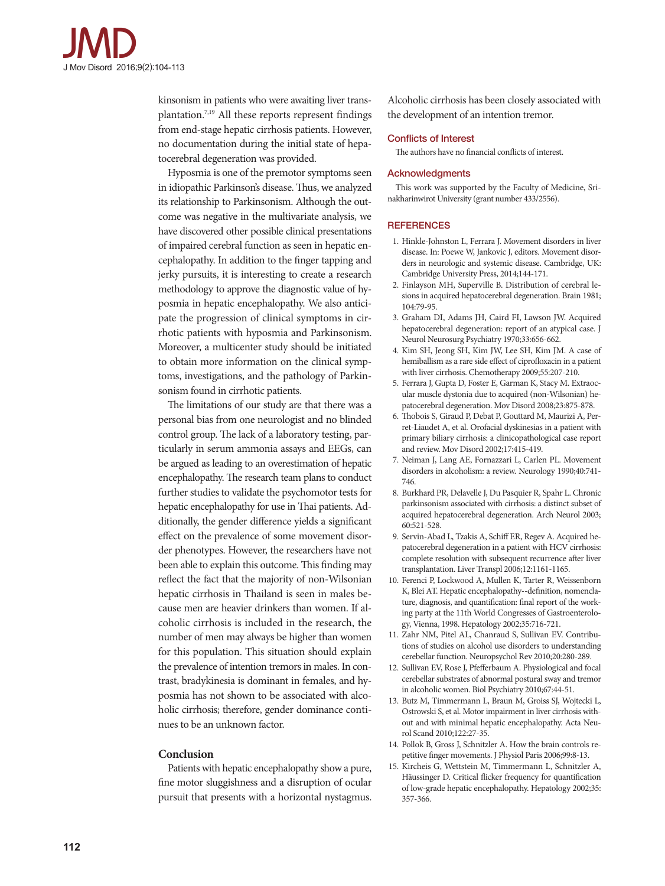kinsonism in patients who were awaiting liver transplantation.7,19 All these reports represent findings from end-stage hepatic cirrhosis patients. However, no documentation during the initial state of hepatocerebral degeneration was provided.

Hyposmia is one of the premotor symptoms seen in idiopathic Parkinson's disease. Thus, we analyzed its relationship to Parkinsonism. Although the outcome was negative in the multivariate analysis, we have discovered other possible clinical presentations of impaired cerebral function as seen in hepatic encephalopathy. In addition to the finger tapping and jerky pursuits, it is interesting to create a research methodology to approve the diagnostic value of hyposmia in hepatic encephalopathy. We also anticipate the progression of clinical symptoms in cirrhotic patients with hyposmia and Parkinsonism. Moreover, a multicenter study should be initiated to obtain more information on the clinical symptoms, investigations, and the pathology of Parkinsonism found in cirrhotic patients.

The limitations of our study are that there was a personal bias from one neurologist and no blinded control group. The lack of a laboratory testing, particularly in serum ammonia assays and EEGs, can be argued as leading to an overestimation of hepatic encephalopathy. The research team plans to conduct further studies to validate the psychomotor tests for hepatic encephalopathy for use in Thai patients. Additionally, the gender difference yields a significant effect on the prevalence of some movement disorder phenotypes. However, the researchers have not been able to explain this outcome. This finding may reflect the fact that the majority of non-Wilsonian hepatic cirrhosis in Thailand is seen in males because men are heavier drinkers than women. If alcoholic cirrhosis is included in the research, the number of men may always be higher than women for this population. This situation should explain the prevalence of intention tremors in males. In contrast, bradykinesia is dominant in females, and hyposmia has not shown to be associated with alcoholic cirrhosis; therefore, gender dominance continues to be an unknown factor.

## **Conclusion**

Patients with hepatic encephalopathy show a pure, fine motor sluggishness and a disruption of ocular pursuit that presents with a horizontal nystagmus. Alcoholic cirrhosis has been closely associated with the development of an intention tremor.

## Conflicts of Interest

The authors have no financial conflicts of interest.

## Acknowledgments

This work was supported by the Faculty of Medicine, Srinakharinwirot University (grant number 433/2556).

## **REFERENCES**

- 1. Hinkle-Johnston L, Ferrara J. Movement disorders in liver disease. In: Poewe W, Jankovic J, editors. Movement disorders in neurologic and systemic disease. Cambridge, UK: Cambridge University Press, 2014;144-171.
- 2. Finlayson MH, Superville B. Distribution of cerebral lesions in acquired hepatocerebral degeneration. Brain 1981; 104:79-95.
- 3. Graham DI, Adams JH, Caird FI, Lawson JW. Acquired hepatocerebral degeneration: report of an atypical case. J Neurol Neurosurg Psychiatry 1970;33:656-662.
- 4. Kim SH, Jeong SH, Kim JW, Lee SH, Kim JM. A case of hemiballism as a rare side effect of ciprofloxacin in a patient with liver cirrhosis. Chemotherapy 2009;55:207-210.
- 5. Ferrara J, Gupta D, Foster E, Garman K, Stacy M. Extraocular muscle dystonia due to acquired (non-Wilsonian) hepatocerebral degeneration. Mov Disord 2008;23:875-878.
- 6. Thobois S, Giraud P, Debat P, Gouttard M, Maurizi A, Perret-Liaudet A, et al. Orofacial dyskinesias in a patient with primary biliary cirrhosis: a clinicopathological case report and review. Mov Disord 2002;17:415-419.
- 7. Neiman J, Lang AE, Fornazzari L, Carlen PL. Movement disorders in alcoholism: a review. Neurology 1990;40:741- 746.
- 8. Burkhard PR, Delavelle J, Du Pasquier R, Spahr L. Chronic parkinsonism associated with cirrhosis: a distinct subset of acquired hepatocerebral degeneration. Arch Neurol 2003; 60:521-528.
- 9. Servin-Abad L, Tzakis A, Schiff ER, Regev A. Acquired hepatocerebral degeneration in a patient with HCV cirrhosis: complete resolution with subsequent recurrence after liver transplantation. Liver Transpl 2006;12:1161-1165.
- 10. Ferenci P, Lockwood A, Mullen K, Tarter R, Weissenborn K, Blei AT. Hepatic encephalopathy--definition, nomenclature, diagnosis, and quantification: final report of the working party at the 11th World Congresses of Gastroenterology, Vienna, 1998. Hepatology 2002;35:716-721.
- 11. Zahr NM, Pitel AL, Chanraud S, Sullivan EV. Contributions of studies on alcohol use disorders to understanding cerebellar function. Neuropsychol Rev 2010;20:280-289.
- 12. Sullivan EV, Rose J, Pfefferbaum A. Physiological and focal cerebellar substrates of abnormal postural sway and tremor in alcoholic women. Biol Psychiatry 2010;67:44-51.
- 13. Butz M, Timmermann L, Braun M, Groiss SJ, Wojtecki L, Ostrowski S, et al. Motor impairment in liver cirrhosis without and with minimal hepatic encephalopathy. Acta Neurol Scand 2010;122:27-35.
- 14. Pollok B, Gross J, Schnitzler A. How the brain controls repetitive finger movements. J Physiol Paris 2006;99:8-13.
- 15. Kircheis G, Wettstein M, Timmermann L, Schnitzler A, Häussinger D. Critical flicker frequency for quantification of low-grade hepatic encephalopathy. Hepatology 2002;35: 357-366.